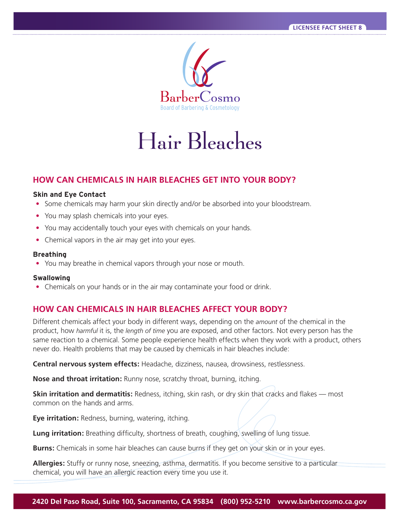

# Hair Bleaches

# **HOW CAN CHEMICALS IN HAIR BLEACHES GET INTO YOUR BODY?**

#### **Skin and Eye Contact**

- Some chemicals may harm your skin directly and/or be absorbed into your bloodstream.
- You may splash chemicals into your eyes.
- You may accidentally touch your eyes with chemicals on your hands.
- Chemical vapors in the air may get into your eyes.

#### **Breathing**

• You may breathe in chemical vapors through your nose or mouth.

#### **Swallowing**

• Chemicals on your hands or in the air may contaminate your food or drink.

# **HOW CAN CHEMICALS IN HAIR BLEACHES AFFECT YOUR BODY?**

Different chemicals affect your body in different ways, depending on the *amount* of the chemical in the product, how *harmful* it is, the *length of time* you are exposed, and other factors. Not every person has the same reaction to a chemical. Some people experience health effects when they work with a product, others never do. Health problems that may be caused by chemicals in hair bleaches include:

Central nervous system effects: Headache, dizziness, nausea, drowsiness, restlessness.

**Nose and throat irritation:** Runny nose, scratchy throat, burning, itching.

**Skin irritation and dermatitis:** Redness, itching, skin rash, or dry skin that cracks and flakes — most common on the hands and arms.

**Eye irritation:** Redness, burning, watering, itching.

**Lung irritation:** Breathing difficulty, shortness of breath, coughing, swelling of lung tissue.

**Burns:** Chemicals in some hair bleaches can cause burns if they get on your skin or in your eyes.

Allergies: Stuffy or runny nose, sneezing, asthma, dermatitis. If you become sensitive to a particular chemical, you will have an allergic reaction every time you use it.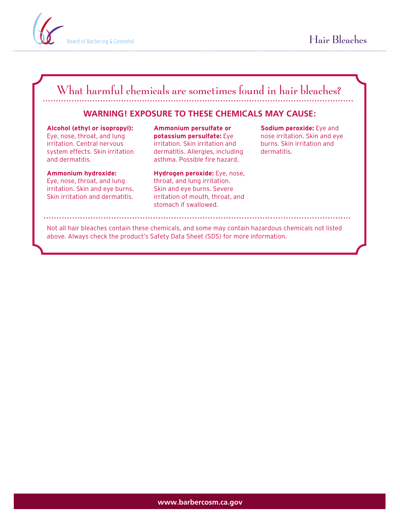

# What harmful chemicals are sometimes found in hair bleaches?

# **WARNING! EXPOSURE TO THESE CHEMICALS MAY CAUSE:**

**Alcohol (ethyl or isopropyl):**  Eye, nose, throat, and lung irritation. Central nervous system effects. Skin irritation and dermatitis.

**Ammonium hydroxide:**  Eye, nose, throat, and lung irritation. Skin and eye burns. Skin irritation and dermatitis.

**Ammonium persulfate or potassium persulfate:** Eye irritation. Skin irritation and dermatitis. Allergies, including asthma. Possible fire hazard.

**Hydrogen peroxide:** Eye, nose, throat, and lung irritation. Skin and eye burns. Severe irritation of mouth, throat, and stomach if swallowed.

**Sodium peroxide:** Eye and nose irritation. Skin and eye burns. Skin irritation and dermatitis.

Not all hair bleaches contain these chemicals, and some may contain hazardous chemicals not listed above. Always check the product's Safety Data Sheet (SDS) for more information.